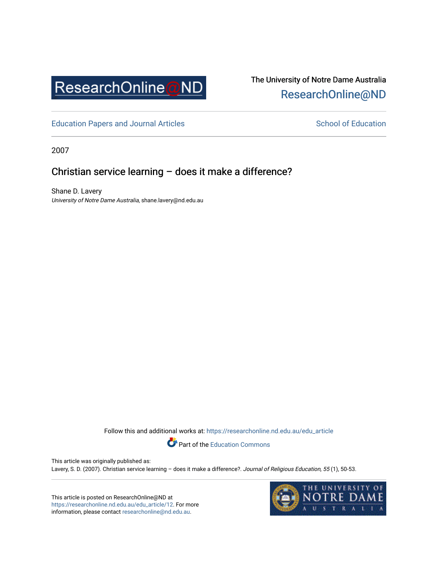

# The University of Notre Dame Australia [ResearchOnline@ND](https://researchonline.nd.edu.au/)

[Education Papers and Journal Articles](https://researchonline.nd.edu.au/edu_article) [School of Education](https://researchonline.nd.edu.au/edu) School of Education

2007

# Christian service learning – does it make a difference?

Shane D. Lavery University of Notre Dame Australia, shane.lavery@nd.edu.au

Follow this and additional works at: [https://researchonline.nd.edu.au/edu\\_article](https://researchonline.nd.edu.au/edu_article?utm_source=researchonline.nd.edu.au%2Fedu_article%2F12&utm_medium=PDF&utm_campaign=PDFCoverPages)



This article was originally published as: Lavery, S. D. (2007). Christian service learning - does it make a difference?. Journal of Religious Education, 55 (1), 50-53.

This article is posted on ResearchOnline@ND at [https://researchonline.nd.edu.au/edu\\_article/12.](https://researchonline.nd.edu.au/edu_article/12) For more information, please contact [researchonline@nd.edu.au.](mailto:researchonline@nd.edu.au)

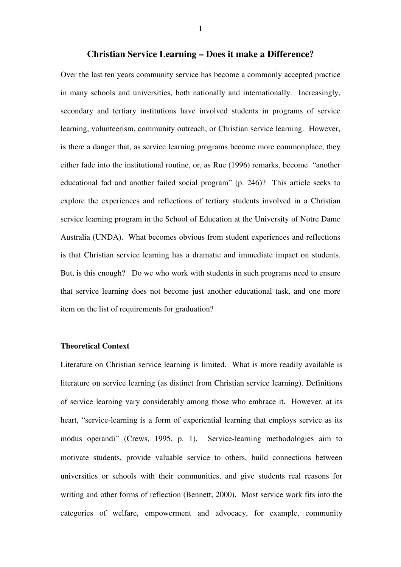# **Christian Service Learning – Does it make a Difference?**

Over the last ten years community service has become a commonly accepted practice in many schools and universities, both nationally and internationally. Increasingly, secondary and tertiary institutions have involved students in programs of service learning, volunteerism, community outreach, or Christian service learning. However, is there a danger that, as service learning programs become more commonplace, they either fade into the institutional routine, or, as Rue (1996) remarks, become "another educational fad and another failed social program" (p. 246)? This article seeks to explore the experiences and reflections of tertiary students involved in a Christian service learning program in the School of Education at the University of Notre Dame Australia (UNDA). What becomes obvious from student experiences and reflections is that Christian service learning has a dramatic and immediate impact on students. But, is this enough? Do we who work with students in such programs need to ensure that service learning does not become just another educational task, and one more item on the list of requirements for graduation?

# **Theoretical Context**

Literature on Christian service learning is limited. What is more readily available is literature on service learning (as distinct from Christian service learning). Definitions of service learning vary considerably among those who embrace it. However, at its heart, "service-learning is a form of experiential learning that employs service as its modus operandi" (Crews, 1995, p. 1). Service-learning methodologies aim to motivate students, provide valuable service to others, build connections between universities or schools with their communities, and give students real reasons for writing and other forms of reflection (Bennett, 2000). Most service work fits into the categories of welfare, empowerment and advocacy, for example, community

1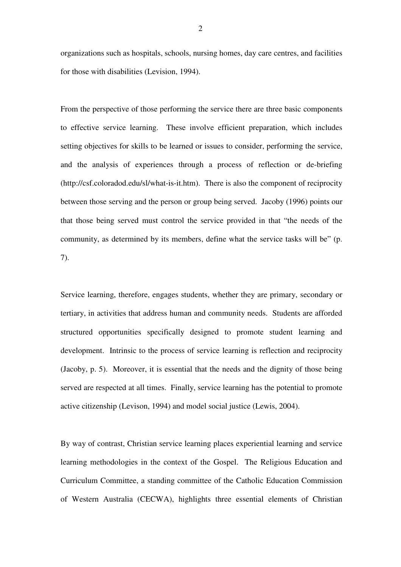organizations such as hospitals, schools, nursing homes, day care centres, and facilities for those with disabilities (Levision, 1994).

From the perspective of those performing the service there are three basic components to effective service learning. These involve efficient preparation, which includes setting objectives for skills to be learned or issues to consider, performing the service, and the analysis of experiences through a process of reflection or de-briefing (http://csf.coloradod.edu/sl/what-is-it.htm). There is also the component of reciprocity between those serving and the person or group being served. Jacoby (1996) points our that those being served must control the service provided in that "the needs of the community, as determined by its members, define what the service tasks will be" (p. 7).

Service learning, therefore, engages students, whether they are primary, secondary or tertiary, in activities that address human and community needs. Students are afforded structured opportunities specifically designed to promote student learning and development. Intrinsic to the process of service learning is reflection and reciprocity (Jacoby, p. 5). Moreover, it is essential that the needs and the dignity of those being served are respected at all times. Finally, service learning has the potential to promote active citizenship (Levison, 1994) and model social justice (Lewis, 2004).

By way of contrast, Christian service learning places experiential learning and service learning methodologies in the context of the Gospel. The Religious Education and Curriculum Committee, a standing committee of the Catholic Education Commission of Western Australia (CECWA), highlights three essential elements of Christian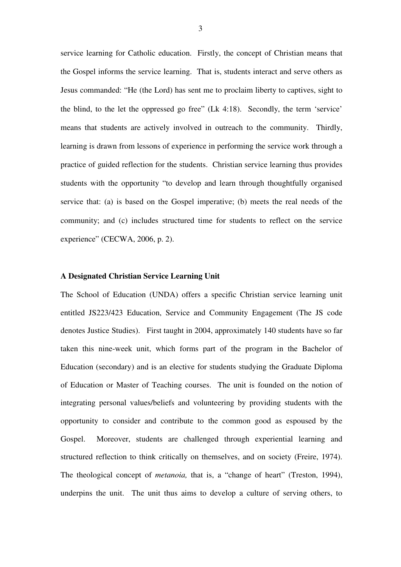service learning for Catholic education. Firstly, the concept of Christian means that the Gospel informs the service learning. That is, students interact and serve others as Jesus commanded: "He (the Lord) has sent me to proclaim liberty to captives, sight to the blind, to the let the oppressed go free" (Lk 4:18). Secondly, the term 'service' means that students are actively involved in outreach to the community. Thirdly, learning is drawn from lessons of experience in performing the service work through a practice of guided reflection for the students. Christian service learning thus provides students with the opportunity "to develop and learn through thoughtfully organised service that: (a) is based on the Gospel imperative; (b) meets the real needs of the community; and (c) includes structured time for students to reflect on the service experience" (CECWA, 2006, p. 2).

#### **A Designated Christian Service Learning Unit**

The School of Education (UNDA) offers a specific Christian service learning unit entitled JS223/423 Education, Service and Community Engagement (The JS code denotes Justice Studies). First taught in 2004, approximately 140 students have so far taken this nine-week unit, which forms part of the program in the Bachelor of Education (secondary) and is an elective for students studying the Graduate Diploma of Education or Master of Teaching courses. The unit is founded on the notion of integrating personal values/beliefs and volunteering by providing students with the opportunity to consider and contribute to the common good as espoused by the Gospel. Moreover, students are challenged through experiential learning and structured reflection to think critically on themselves, and on society (Freire, 1974). The theological concept of *metanoia,* that is, a "change of heart" (Treston, 1994), underpins the unit. The unit thus aims to develop a culture of serving others, to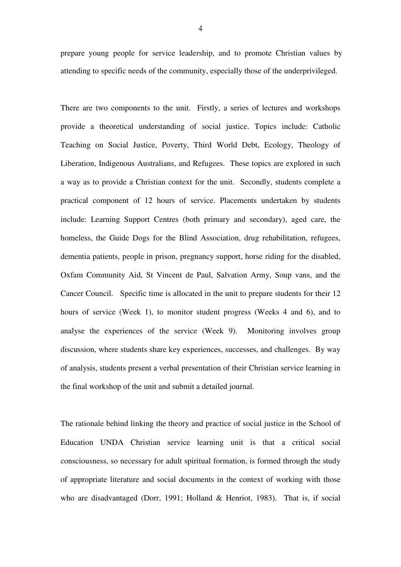prepare young people for service leadership, and to promote Christian values by attending to specific needs of the community, especially those of the underprivileged.

There are two components to the unit. Firstly, a series of lectures and workshops provide a theoretical understanding of social justice. Topics include: Catholic Teaching on Social Justice, Poverty, Third World Debt, Ecology, Theology of Liberation, Indigenous Australians, and Refugees. These topics are explored in such a way as to provide a Christian context for the unit. Secondly, students complete a practical component of 12 hours of service. Placements undertaken by students include: Learning Support Centres (both primary and secondary), aged care, the homeless, the Guide Dogs for the Blind Association, drug rehabilitation, refugees, dementia patients, people in prison, pregnancy support, horse riding for the disabled, Oxfam Community Aid, St Vincent de Paul, Salvation Army, Soup vans, and the Cancer Council. Specific time is allocated in the unit to prepare students for their 12 hours of service (Week 1), to monitor student progress (Weeks 4 and 6), and to analyse the experiences of the service (Week 9). Monitoring involves group discussion, where students share key experiences, successes, and challenges. By way of analysis, students present a verbal presentation of their Christian service learning in the final workshop of the unit and submit a detailed journal.

The rationale behind linking the theory and practice of social justice in the School of Education UNDA Christian service learning unit is that a critical social consciousness, so necessary for adult spiritual formation, is formed through the study of appropriate literature and social documents in the context of working with those who are disadvantaged (Dorr, 1991; Holland & Henriot, 1983). That is, if social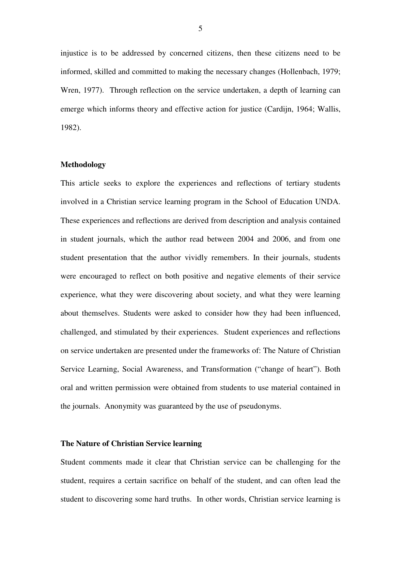injustice is to be addressed by concerned citizens, then these citizens need to be informed, skilled and committed to making the necessary changes (Hollenbach, 1979; Wren, 1977). Through reflection on the service undertaken, a depth of learning can emerge which informs theory and effective action for justice (Cardijn, 1964; Wallis, 1982).

# **Methodology**

This article seeks to explore the experiences and reflections of tertiary students involved in a Christian service learning program in the School of Education UNDA. These experiences and reflections are derived from description and analysis contained in student journals, which the author read between 2004 and 2006, and from one student presentation that the author vividly remembers. In their journals, students were encouraged to reflect on both positive and negative elements of their service experience, what they were discovering about society, and what they were learning about themselves. Students were asked to consider how they had been influenced, challenged, and stimulated by their experiences. Student experiences and reflections on service undertaken are presented under the frameworks of: The Nature of Christian Service Learning, Social Awareness, and Transformation ("change of heart"). Both oral and written permission were obtained from students to use material contained in the journals. Anonymity was guaranteed by the use of pseudonyms.

#### **The Nature of Christian Service learning**

Student comments made it clear that Christian service can be challenging for the student, requires a certain sacrifice on behalf of the student, and can often lead the student to discovering some hard truths. In other words, Christian service learning is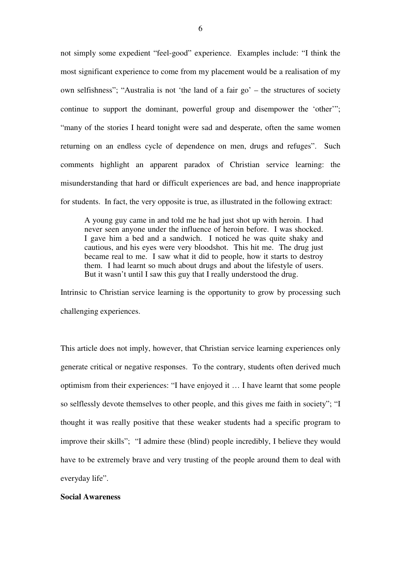not simply some expedient "feel-good" experience. Examples include: "I think the most significant experience to come from my placement would be a realisation of my own selfishness"; "Australia is not 'the land of a fair go' – the structures of society continue to support the dominant, powerful group and disempower the 'other'"; "many of the stories I heard tonight were sad and desperate, often the same women returning on an endless cycle of dependence on men, drugs and refuges". Such comments highlight an apparent paradox of Christian service learning: the misunderstanding that hard or difficult experiences are bad, and hence inappropriate for students. In fact, the very opposite is true, as illustrated in the following extract:

A young guy came in and told me he had just shot up with heroin. I had never seen anyone under the influence of heroin before. I was shocked. I gave him a bed and a sandwich. I noticed he was quite shaky and cautious, and his eyes were very bloodshot. This hit me. The drug just became real to me. I saw what it did to people, how it starts to destroy them. I had learnt so much about drugs and about the lifestyle of users. But it wasn't until I saw this guy that I really understood the drug.

Intrinsic to Christian service learning is the opportunity to grow by processing such challenging experiences.

This article does not imply, however, that Christian service learning experiences only generate critical or negative responses. To the contrary, students often derived much optimism from their experiences: "I have enjoyed it … I have learnt that some people so selflessly devote themselves to other people, and this gives me faith in society"; "I thought it was really positive that these weaker students had a specific program to improve their skills"; "I admire these (blind) people incredibly, I believe they would have to be extremely brave and very trusting of the people around them to deal with everyday life".

#### **Social Awareness**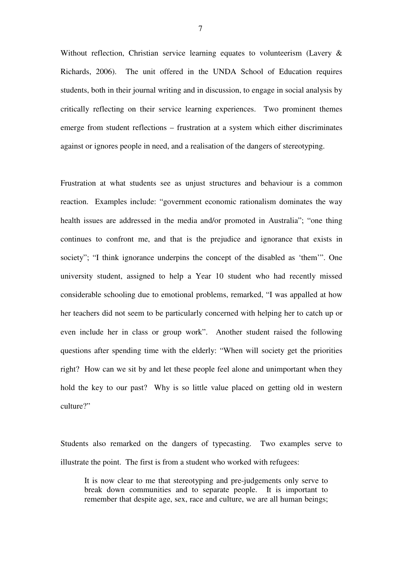Without reflection, Christian service learning equates to volunteerism (Lavery & Richards, 2006). The unit offered in the UNDA School of Education requires students, both in their journal writing and in discussion, to engage in social analysis by critically reflecting on their service learning experiences. Two prominent themes emerge from student reflections – frustration at a system which either discriminates against or ignores people in need, and a realisation of the dangers of stereotyping.

Frustration at what students see as unjust structures and behaviour is a common reaction. Examples include: "government economic rationalism dominates the way health issues are addressed in the media and/or promoted in Australia"; "one thing continues to confront me, and that is the prejudice and ignorance that exists in society"; "I think ignorance underpins the concept of the disabled as 'them'". One university student, assigned to help a Year 10 student who had recently missed considerable schooling due to emotional problems, remarked, "I was appalled at how her teachers did not seem to be particularly concerned with helping her to catch up or even include her in class or group work". Another student raised the following questions after spending time with the elderly: "When will society get the priorities right? How can we sit by and let these people feel alone and unimportant when they hold the key to our past? Why is so little value placed on getting old in western culture?"

Students also remarked on the dangers of typecasting. Two examples serve to illustrate the point. The first is from a student who worked with refugees:

It is now clear to me that stereotyping and pre-judgements only serve to break down communities and to separate people. It is important to remember that despite age, sex, race and culture, we are all human beings;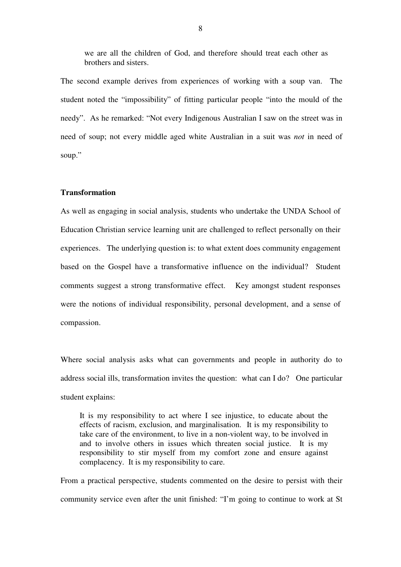we are all the children of God, and therefore should treat each other as brothers and sisters.

The second example derives from experiences of working with a soup van. The student noted the "impossibility" of fitting particular people "into the mould of the needy". As he remarked: "Not every Indigenous Australian I saw on the street was in need of soup; not every middle aged white Australian in a suit was *not* in need of soup."

# **Transformation**

As well as engaging in social analysis, students who undertake the UNDA School of Education Christian service learning unit are challenged to reflect personally on their experiences. The underlying question is: to what extent does community engagement based on the Gospel have a transformative influence on the individual? Student comments suggest a strong transformative effect. Key amongst student responses were the notions of individual responsibility, personal development, and a sense of compassion.

Where social analysis asks what can governments and people in authority do to address social ills, transformation invites the question: what can I do? One particular student explains:

It is my responsibility to act where I see injustice, to educate about the effects of racism, exclusion, and marginalisation. It is my responsibility to take care of the environment, to live in a non-violent way, to be involved in and to involve others in issues which threaten social justice. It is my responsibility to stir myself from my comfort zone and ensure against complacency. It is my responsibility to care.

From a practical perspective, students commented on the desire to persist with their community service even after the unit finished: "I'm going to continue to work at St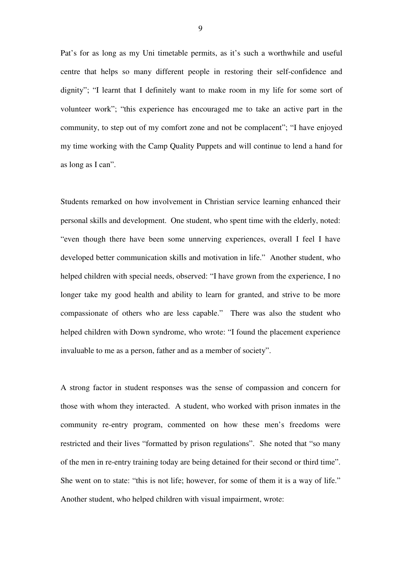Pat's for as long as my Uni timetable permits, as it's such a worthwhile and useful centre that helps so many different people in restoring their self-confidence and dignity"; "I learnt that I definitely want to make room in my life for some sort of volunteer work"; "this experience has encouraged me to take an active part in the community, to step out of my comfort zone and not be complacent"; "I have enjoyed my time working with the Camp Quality Puppets and will continue to lend a hand for as long as I can".

Students remarked on how involvement in Christian service learning enhanced their personal skills and development. One student, who spent time with the elderly, noted: "even though there have been some unnerving experiences, overall I feel I have developed better communication skills and motivation in life." Another student, who helped children with special needs, observed: "I have grown from the experience, I no longer take my good health and ability to learn for granted, and strive to be more compassionate of others who are less capable." There was also the student who helped children with Down syndrome, who wrote: "I found the placement experience invaluable to me as a person, father and as a member of society".

A strong factor in student responses was the sense of compassion and concern for those with whom they interacted. A student, who worked with prison inmates in the community re-entry program, commented on how these men's freedoms were restricted and their lives "formatted by prison regulations". She noted that "so many of the men in re-entry training today are being detained for their second or third time". She went on to state: "this is not life; however, for some of them it is a way of life." Another student, who helped children with visual impairment, wrote: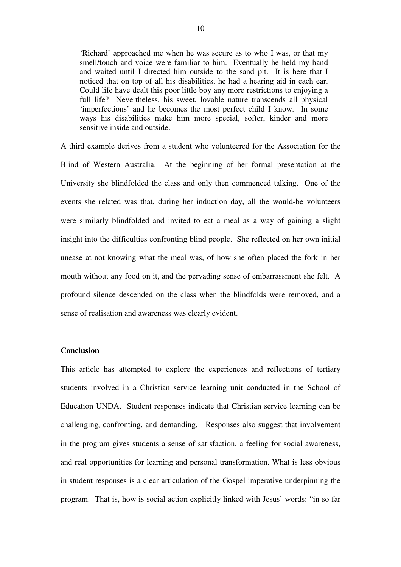'Richard' approached me when he was secure as to who I was, or that my smell/touch and voice were familiar to him. Eventually he held my hand and waited until I directed him outside to the sand pit. It is here that I noticed that on top of all his disabilities, he had a hearing aid in each ear. Could life have dealt this poor little boy any more restrictions to enjoying a full life? Nevertheless, his sweet, lovable nature transcends all physical 'imperfections' and he becomes the most perfect child I know. In some ways his disabilities make him more special, softer, kinder and more sensitive inside and outside.

A third example derives from a student who volunteered for the Association for the Blind of Western Australia. At the beginning of her formal presentation at the University she blindfolded the class and only then commenced talking. One of the events she related was that, during her induction day, all the would-be volunteers were similarly blindfolded and invited to eat a meal as a way of gaining a slight insight into the difficulties confronting blind people. She reflected on her own initial unease at not knowing what the meal was, of how she often placed the fork in her mouth without any food on it, and the pervading sense of embarrassment she felt. A profound silence descended on the class when the blindfolds were removed, and a sense of realisation and awareness was clearly evident.

# **Conclusion**

This article has attempted to explore the experiences and reflections of tertiary students involved in a Christian service learning unit conducted in the School of Education UNDA. Student responses indicate that Christian service learning can be challenging, confronting, and demanding. Responses also suggest that involvement in the program gives students a sense of satisfaction, a feeling for social awareness, and real opportunities for learning and personal transformation. What is less obvious in student responses is a clear articulation of the Gospel imperative underpinning the program. That is, how is social action explicitly linked with Jesus' words: "in so far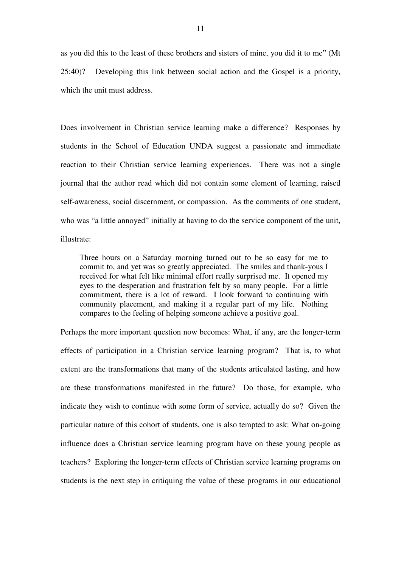as you did this to the least of these brothers and sisters of mine, you did it to me" (Mt 25:40)? Developing this link between social action and the Gospel is a priority, which the unit must address.

Does involvement in Christian service learning make a difference? Responses by students in the School of Education UNDA suggest a passionate and immediate reaction to their Christian service learning experiences. There was not a single journal that the author read which did not contain some element of learning, raised self-awareness, social discernment, or compassion. As the comments of one student, who was "a little annoyed" initially at having to do the service component of the unit, illustrate:

Three hours on a Saturday morning turned out to be so easy for me to commit to, and yet was so greatly appreciated. The smiles and thank-yous I received for what felt like minimal effort really surprised me. It opened my eyes to the desperation and frustration felt by so many people. For a little commitment, there is a lot of reward. I look forward to continuing with community placement, and making it a regular part of my life. Nothing compares to the feeling of helping someone achieve a positive goal.

Perhaps the more important question now becomes: What, if any, are the longer-term effects of participation in a Christian service learning program? That is, to what extent are the transformations that many of the students articulated lasting, and how are these transformations manifested in the future? Do those, for example, who indicate they wish to continue with some form of service, actually do so? Given the particular nature of this cohort of students, one is also tempted to ask: What on-going influence does a Christian service learning program have on these young people as teachers? Exploring the longer-term effects of Christian service learning programs on students is the next step in critiquing the value of these programs in our educational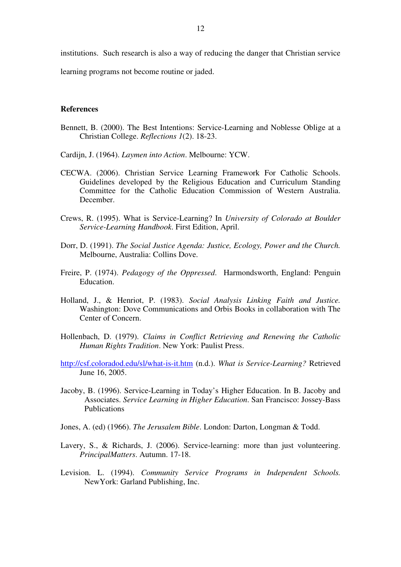institutions. Such research is also a way of reducing the danger that Christian service

learning programs not become routine or jaded.

#### **References**

- Bennett, B. (2000). The Best Intentions: Service-Learning and Noblesse Oblige at a Christian College. *Reflections 1*(2). 18-23.
- Cardijn, J. (1964). *Laymen into Action*. Melbourne: YCW.
- CECWA. (2006). Christian Service Learning Framework For Catholic Schools. Guidelines developed by the Religious Education and Curriculum Standing Committee for the Catholic Education Commission of Western Australia. December.
- Crews, R. (1995). What is Service-Learning? In *University of Colorado at Boulder Service-Learning Handbook*. First Edition, April.
- Dorr, D. (1991). *The Social Justice Agenda: Justice, Ecology, Power and the Church.* Melbourne, Australia: Collins Dove.
- Freire, P. (1974). *Pedagogy of the Oppressed*. Harmondsworth, England: Penguin Education.
- Holland, J., & Henriot, P. (1983). *Social Analysis Linking Faith and Justice.* Washington: Dove Communications and Orbis Books in collaboration with The Center of Concern.
- Hollenbach, D. (1979). *Claims in Conflict Retrieving and Renewing the Catholic Human Rights Tradition*. New York: Paulist Press.
- http://csf.coloradod.edu/sl/what-is-it.htm (n.d.). *What is Service-Learning?* Retrieved June 16, 2005.
- Jacoby, B. (1996). Service-Learning in Today's Higher Education. In B. Jacoby and Associates. *Service Learning in Higher Education*. San Francisco: Jossey-Bass Publications
- Jones, A. (ed) (1966). *The Jerusalem Bible*. London: Darton, Longman & Todd.
- Lavery, S., & Richards, J. (2006). Service-learning: more than just volunteering. *PrincipalMatters*. Autumn. 17-18.
- Levision. L. (1994). *Community Service Programs in Independent Schools.* NewYork: Garland Publishing, Inc.